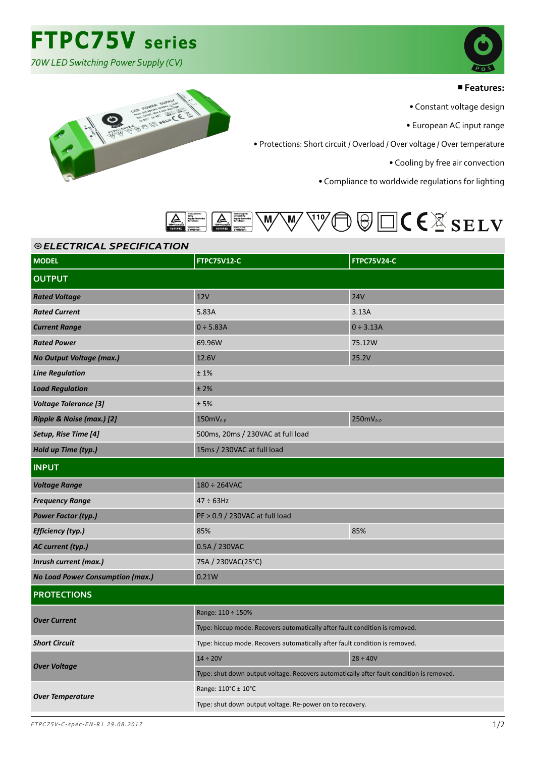## **FTPC75V series**

*70W LED Switching Power Supply (CV)*



#### ■**Features:**

• Constant voltage design

• European AC input range

• Protections: Short circuit / Overload / Over voltage / Over temperature

• Cooling by free air convection

• Compliance to worldwide regulations for lighting



## ⦾ *ELECTRICAL SPECIFICATION ELECTRICAL SPECIFICATION*

| © ELEC I RICAL SPECIFICA I IUN          |                                                                                          |                    |  |
|-----------------------------------------|------------------------------------------------------------------------------------------|--------------------|--|
| <b>MODEL</b>                            | <b>FTPC75V12-C</b>                                                                       | <b>FTPC75V24-C</b> |  |
| <b>OUTPUT</b>                           |                                                                                          |                    |  |
| <b>Rated Voltage</b>                    | <b>12V</b>                                                                               | <b>24V</b>         |  |
| <b>Rated Current</b>                    | 5.83A                                                                                    | 3.13A              |  |
| <b>Current Range</b>                    | $0 \div 5.83A$                                                                           | $0 \div 3.13A$     |  |
| <b>Rated Power</b>                      | 69.96W                                                                                   | 75.12W             |  |
| No Output Voltage (max.)                | 12.6V                                                                                    | 25.2V              |  |
| <b>Line Regulation</b>                  | ±1%                                                                                      |                    |  |
| <b>Load Regulation</b>                  | ±2%                                                                                      |                    |  |
| <b>Voltage Tolerance [3]</b>            | ±5%                                                                                      |                    |  |
| Ripple & Noise (max.) [2]               | $150mV_{P-P}$                                                                            | $250mV_{P-P}$      |  |
| Setup, Rise Time [4]                    | 500ms, 20ms / 230VAC at full load                                                        |                    |  |
| Hold up Time (typ.)                     | 15ms / 230VAC at full load                                                               |                    |  |
| <b>INPUT</b>                            |                                                                                          |                    |  |
| <b>Voltage Range</b>                    | $180 \div 264$ VAC                                                                       |                    |  |
| <b>Frequency Range</b>                  | $47 \div 63$ Hz                                                                          |                    |  |
| <b>Power Factor (typ.)</b>              | PF > 0.9 / 230VAC at full load                                                           |                    |  |
| Efficiency (typ.)                       | 85%                                                                                      | 85%                |  |
| AC current (typ.)                       | 0.5A / 230VAC                                                                            |                    |  |
| Inrush current (max.)                   | 75A / 230VAC(25°C)                                                                       |                    |  |
| <b>No Load Power Consumption (max.)</b> | 0.21W                                                                                    |                    |  |
| <b>PROTECTIONS</b>                      |                                                                                          |                    |  |
| <b>Over Current</b>                     | Range: 110 ÷ 150%                                                                        |                    |  |
|                                         | Type: hiccup mode. Recovers automatically after fault condition is removed.              |                    |  |
| <b>Short Circuit</b>                    | Type: hiccup mode. Recovers automatically after fault condition is removed.              |                    |  |
| <b>Over Voltage</b>                     | $14 \div 20V$                                                                            | $28 \div 40V$      |  |
|                                         | Type: shut down output voltage. Recovers automatically after fault condition is removed. |                    |  |
| <b>Over Temperature</b>                 | Range: 110°C ± 10°C                                                                      |                    |  |
|                                         | Type: shut down output voltage. Re-power on to recovery.                                 |                    |  |